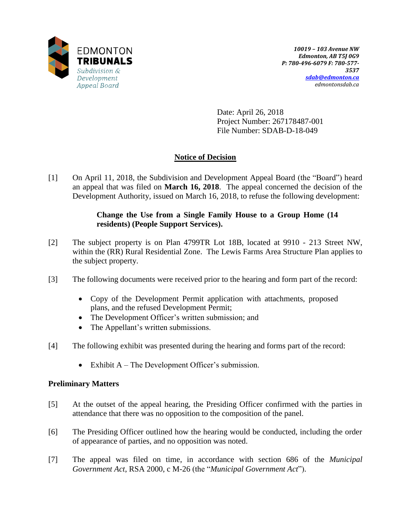

Date: April 26, 2018 Project Number: 267178487-001 File Number: SDAB-D-18-049

# **Notice of Decision**

[1] On April 11, 2018, the Subdivision and Development Appeal Board (the "Board") heard an appeal that was filed on **March 16, 2018**. The appeal concerned the decision of the Development Authority, issued on March 16, 2018, to refuse the following development:

## **Change the Use from a Single Family House to a Group Home (14 residents) (People Support Services).**

- [2] The subject property is on Plan 4799TR Lot 18B, located at 9910 213 Street NW, within the (RR) Rural Residential Zone. The Lewis Farms Area Structure Plan applies to the subject property.
- [3] The following documents were received prior to the hearing and form part of the record:
	- Copy of the Development Permit application with attachments, proposed plans, and the refused Development Permit;
	- The Development Officer's written submission; and
	- The Appellant's written submissions.
- [4] The following exhibit was presented during the hearing and forms part of the record:
	- Exhibit  $A$  The Development Officer's submission.

## **Preliminary Matters**

- [5] At the outset of the appeal hearing, the Presiding Officer confirmed with the parties in attendance that there was no opposition to the composition of the panel.
- [6] The Presiding Officer outlined how the hearing would be conducted, including the order of appearance of parties, and no opposition was noted.
- [7] The appeal was filed on time, in accordance with section 686 of the *Municipal Government Act*, RSA 2000, c M-26 (the "*Municipal Government Act*").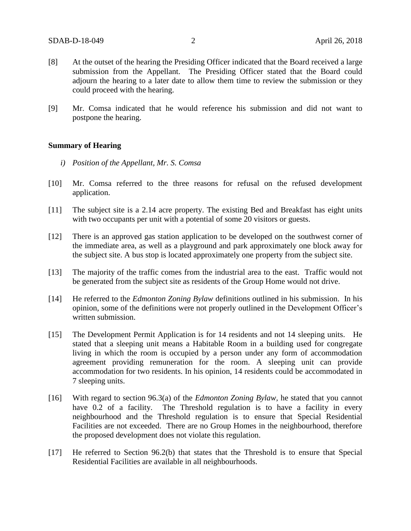- [8] At the outset of the hearing the Presiding Officer indicated that the Board received a large submission from the Appellant. The Presiding Officer stated that the Board could adjourn the hearing to a later date to allow them time to review the submission or they could proceed with the hearing.
- [9] Mr. Comsa indicated that he would reference his submission and did not want to postpone the hearing.

#### **Summary of Hearing**

- *i) Position of the Appellant, Mr. S. Comsa*
- [10] Mr. Comsa referred to the three reasons for refusal on the refused development application.
- [11] The subject site is a 2.14 acre property. The existing Bed and Breakfast has eight units with two occupants per unit with a potential of some 20 visitors or guests.
- [12] There is an approved gas station application to be developed on the southwest corner of the immediate area, as well as a playground and park approximately one block away for the subject site. A bus stop is located approximately one property from the subject site.
- [13] The majority of the traffic comes from the industrial area to the east. Traffic would not be generated from the subject site as residents of the Group Home would not drive.
- [14] He referred to the *Edmonton Zoning Bylaw* definitions outlined in his submission. In his opinion, some of the definitions were not properly outlined in the Development Officer's written submission.
- [15] The Development Permit Application is for 14 residents and not 14 sleeping units. He stated that a sleeping unit means a Habitable Room in a building used for congregate living in which the room is occupied by a person under any form of accommodation agreement providing remuneration for the room. A sleeping unit can provide accommodation for two residents. In his opinion, 14 residents could be accommodated in 7 sleeping units.
- [16] With regard to section 96.3(a) of the *Edmonton Zoning Bylaw,* he stated that you cannot have 0.2 of a facility. The Threshold regulation is to have a facility in every neighbourhood and the Threshold regulation is to ensure that Special Residential Facilities are not exceeded. There are no Group Homes in the neighbourhood, therefore the proposed development does not violate this regulation.
- [17] He referred to Section 96.2(b) that states that the Threshold is to ensure that Special Residential Facilities are available in all neighbourhoods.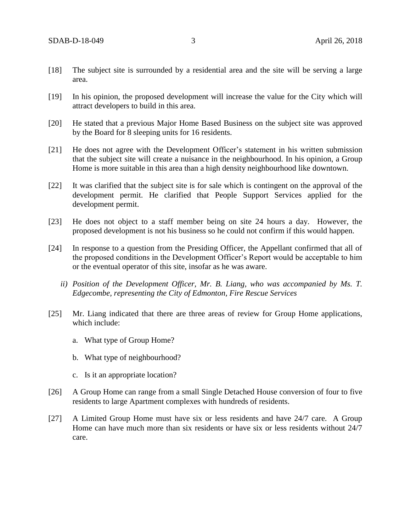- [18] The subject site is surrounded by a residential area and the site will be serving a large area.
- [19] In his opinion, the proposed development will increase the value for the City which will attract developers to build in this area.
- [20] He stated that a previous Major Home Based Business on the subject site was approved by the Board for 8 sleeping units for 16 residents.
- [21] He does not agree with the Development Officer's statement in his written submission that the subject site will create a nuisance in the neighbourhood. In his opinion, a Group Home is more suitable in this area than a high density neighbourhood like downtown.
- [22] It was clarified that the subject site is for sale which is contingent on the approval of the development permit. He clarified that People Support Services applied for the development permit.
- [23] He does not object to a staff member being on site 24 hours a day. However, the proposed development is not his business so he could not confirm if this would happen.
- [24] In response to a question from the Presiding Officer, the Appellant confirmed that all of the proposed conditions in the Development Officer's Report would be acceptable to him or the eventual operator of this site, insofar as he was aware.
	- *ii) Position of the Development Officer, Mr. B. Liang, who was accompanied by Ms. T. Edgecombe, representing the City of Edmonton, Fire Rescue Services*
- [25] Mr. Liang indicated that there are three areas of review for Group Home applications, which include:
	- a. What type of Group Home?
	- b. What type of neighbourhood?
	- c. Is it an appropriate location?
- [26] A Group Home can range from a small Single Detached House conversion of four to five residents to large Apartment complexes with hundreds of residents.
- [27] A Limited Group Home must have six or less residents and have 24/7 care. A Group Home can have much more than six residents or have six or less residents without 24/7 care.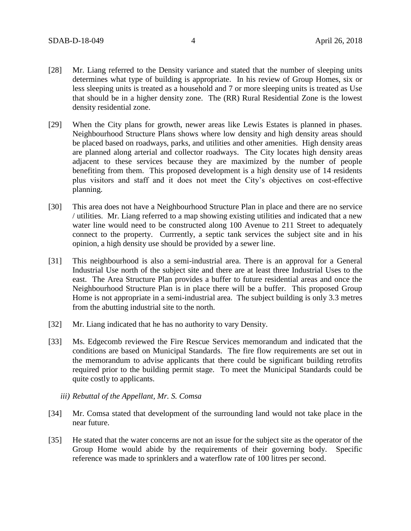- [28] Mr. Liang referred to the Density variance and stated that the number of sleeping units determines what type of building is appropriate. In his review of Group Homes, six or less sleeping units is treated as a household and 7 or more sleeping units is treated as Use that should be in a higher density zone. The (RR) Rural Residential Zone is the lowest density residential zone.
- [29] When the City plans for growth, newer areas like Lewis Estates is planned in phases. Neighbourhood Structure Plans shows where low density and high density areas should be placed based on roadways, parks, and utilities and other amenities. High density areas are planned along arterial and collector roadways. The City locates high density areas adjacent to these services because they are maximized by the number of people benefiting from them. This proposed development is a high density use of 14 residents plus visitors and staff and it does not meet the City's objectives on cost-effective planning.
- [30] This area does not have a Neighbourhood Structure Plan in place and there are no service / utilities. Mr. Liang referred to a map showing existing utilities and indicated that a new water line would need to be constructed along 100 Avenue to 211 Street to adequately connect to the property. Currrently, a septic tank services the subject site and in his opinion, a high density use should be provided by a sewer line.
- [31] This neighbourhood is also a semi-industrial area. There is an approval for a General Industrial Use north of the subject site and there are at least three Industrial Uses to the east. The Area Structure Plan provides a buffer to future residential areas and once the Neighbourhood Structure Plan is in place there will be a buffer. This proposed Group Home is not appropriate in a semi-industrial area. The subject building is only 3.3 metres from the abutting industrial site to the north.
- [32] Mr. Liang indicated that he has no authority to vary Density.
- [33] Ms. Edgecomb reviewed the Fire Rescue Services memorandum and indicated that the conditions are based on Municipal Standards. The fire flow requirements are set out in the memorandum to advise applicants that there could be significant building retrofits required prior to the building permit stage. To meet the Municipal Standards could be quite costly to applicants.
	- *iii) Rebuttal of the Appellant, Mr. S. Comsa*
- [34] Mr. Comsa stated that development of the surrounding land would not take place in the near future.
- [35] He stated that the water concerns are not an issue for the subject site as the operator of the Group Home would abide by the requirements of their governing body. Specific reference was made to sprinklers and a waterflow rate of 100 litres per second.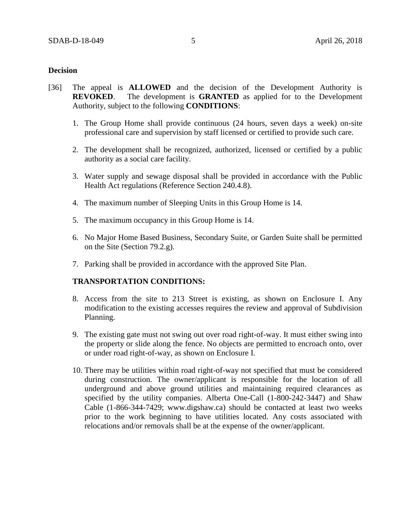## **Decision**

- [36] The appeal is **ALLOWED** and the decision of the Development Authority is **REVOKED**. The development is **GRANTED** as applied for to the Development Authority, subject to the following **CONDITIONS**:
	- 1. The Group Home shall provide continuous (24 hours, seven days a week) on-site professional care and supervision by staff licensed or certified to provide such care.
	- 2. The development shall be recognized, authorized, licensed or certified by a public authority as a social care facility.
	- 3. Water supply and sewage disposal shall be provided in accordance with the Public Health Act regulations (Reference Section 240.4.8).
	- 4. The maximum number of Sleeping Units in this Group Home is 14.
	- 5. The maximum occupancy in this Group Home is 14.
	- 6. No Major Home Based Business, Secondary Suite, or Garden Suite shall be permitted on the Site (Section 79.2.g).
	- 7. Parking shall be provided in accordance with the approved Site Plan.

## **TRANSPORTATION CONDITIONS:**

- 8. Access from the site to 213 Street is existing, as shown on Enclosure I. Any modification to the existing accesses requires the review and approval of Subdivision Planning.
- 9. The existing gate must not swing out over road right-of-way. It must either swing into the property or slide along the fence. No objects are permitted to encroach onto, over or under road right-of-way, as shown on Enclosure I.
- 10. There may be utilities within road right-of-way not specified that must be considered during construction. The owner/applicant is responsible for the location of all underground and above ground utilities and maintaining required clearances as specified by the utility companies. Alberta One-Call (1-800-242-3447) and Shaw Cable (1-866-344-7429; www.digshaw.ca) should be contacted at least two weeks prior to the work beginning to have utilities located. Any costs associated with relocations and/or removals shall be at the expense of the owner/applicant.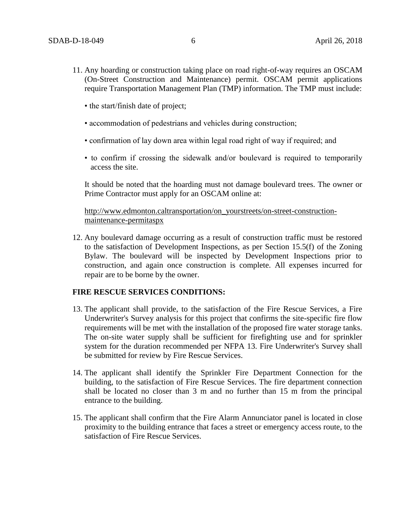- 11. Any hoarding or construction taking place on road right-of-way requires an OSCAM (On-Street Construction and Maintenance) permit. OSCAM permit applications require Transportation Management Plan (TMP) information. The TMP must include:
	- the start/finish date of project;
	- accommodation of pedestrians and vehicles during construction;
	- confirmation of lay down area within legal road right of way if required; and
	- to confirm if crossing the sidewalk and/or boulevard is required to temporarily access the site.

It should be noted that the hoarding must not damage boulevard trees. The owner or Prime Contractor must apply for an OSCAM online at:

[http://www.edmonton.caltransportation/on\\_yourstreets/on-street-construction](http://www.edmonton.caltransportation/on_yourstreets/on-street-construction-maintenance-permitaspx)[maintenance-permitaspx](http://www.edmonton.caltransportation/on_yourstreets/on-street-construction-maintenance-permitaspx)

12. Any boulevard damage occurring as a result of construction traffic must be restored to the satisfaction of Development Inspections, as per Section 15.5(f) of the Zoning Bylaw. The boulevard will be inspected by Development Inspections prior to construction, and again once construction is complete. All expenses incurred for repair are to be borne by the owner.

### **FIRE RESCUE SERVICES CONDITIONS:**

- 13. The applicant shall provide, to the satisfaction of the Fire Rescue Services, a Fire Underwriter's Survey analysis for this project that confirms the site-specific fire flow requirements will be met with the installation of the proposed fire water storage tanks. The on-site water supply shall be sufficient for firefighting use and for sprinkler system for the duration recommended per NFPA 13. Fire Underwriter's Survey shall be submitted for review by Fire Rescue Services.
- 14. The applicant shall identify the Sprinkler Fire Department Connection for the building, to the satisfaction of Fire Rescue Services. The fire department connection shall be located no closer than 3 m and no further than 15 m from the principal entrance to the building.
- 15. The applicant shall confirm that the Fire Alarm Annunciator panel is located in close proximity to the building entrance that faces a street or emergency access route, to the satisfaction of Fire Rescue Services.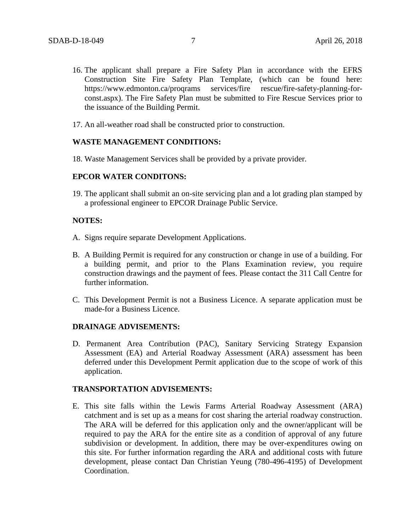- 16. The applicant shall prepare a Fire Safety Plan in accordance with the EFRS Construction Site Fire Safety Plan Template, (which can be found here: https://www.edmonton.ca/proqrams services/fire rescue/fire-safety-planning-forconst.aspx). The Fire Safety Plan must be submitted to Fire Rescue Services prior to the issuance of the Building Permit.
- 17. An all-weather road shall be constructed prior to construction.

#### **WASTE MANAGEMENT CONDITIONS:**

18. Waste Management Services shall be provided by a private provider.

#### **EPCOR WATER CONDITONS:**

19. The applicant shall submit an on-site servicing plan and a lot grading plan stamped by a professional engineer to EPCOR Drainage Public Service.

#### **NOTES:**

- A. Signs require separate Development Applications.
- B. A Building Permit is required for any construction or change in use of a building. For a building permit, and prior to the Plans Examination review, you require construction drawings and the payment of fees. Please contact the 311 Call Centre for further information.
- C. This Development Permit is not a Business Licence. A separate application must be made-for a Business Licence.

#### **DRAINAGE ADVISEMENTS:**

D. Permanent Area Contribution (PAC), Sanitary Servicing Strategy Expansion Assessment (EA) and Arterial Roadway Assessment (ARA) assessment has been deferred under this Development Permit application due to the scope of work of this application.

#### **TRANSPORTATION ADVISEMENTS:**

E. This site falls within the Lewis Farms Arterial Roadway Assessment (ARA) catchment and is set up as a means for cost sharing the arterial roadway construction. The ARA will be deferred for this application only and the owner/applicant will be required to pay the ARA for the entire site as a condition of approval of any future subdivision or development. In addition, there may be over-expenditures owing on this site. For further information regarding the ARA and additional costs with future development, please contact Dan Christian Yeung (780-496-4195) of Development Coordination.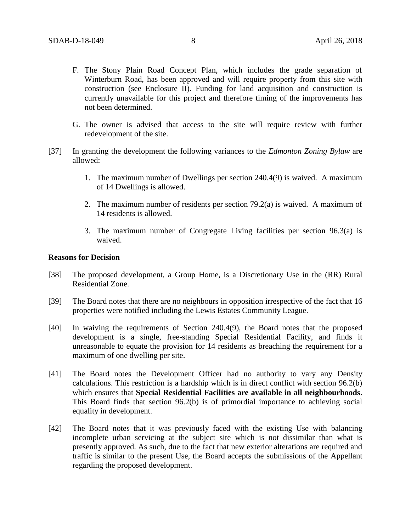- F. The Stony Plain Road Concept Plan, which includes the grade separation of Winterburn Road, has been approved and will require property from this site with construction (see Enclosure II). Funding for land acquisition and construction is currently unavailable for this project and therefore timing of the improvements has not been determined.
- G. The owner is advised that access to the site will require review with further redevelopment of the site.
- [37] In granting the development the following variances to the *Edmonton Zoning Bylaw* are allowed:
	- 1. The maximum number of Dwellings per section 240.4(9) is waived. A maximum of 14 Dwellings is allowed.
	- 2. The maximum number of residents per section 79.2(a) is waived. A maximum of 14 residents is allowed.
	- 3. The maximum number of Congregate Living facilities per section 96.3(a) is waived.

#### **Reasons for Decision**

- [38] The proposed development, a Group Home, is a Discretionary Use in the (RR) Rural Residential Zone.
- [39] The Board notes that there are no neighbours in opposition irrespective of the fact that 16 properties were notified including the Lewis Estates Community League.
- [40] In waiving the requirements of Section 240.4(9), the Board notes that the proposed development is a single, free-standing Special Residential Facility, and finds it unreasonable to equate the provision for 14 residents as breaching the requirement for a maximum of one dwelling per site.
- [41] The Board notes the Development Officer had no authority to vary any Density calculations. This restriction is a hardship which is in direct conflict with section 96.2(b) which ensures that **Special Residential Facilities are available in all neighbourhoods**. This Board finds that section 96.2(b) is of primordial importance to achieving social equality in development.
- [42] The Board notes that it was previously faced with the existing Use with balancing incomplete urban servicing at the subject site which is not dissimilar than what is presently approved. As such, due to the fact that new exterior alterations are required and traffic is similar to the present Use, the Board accepts the submissions of the Appellant regarding the proposed development.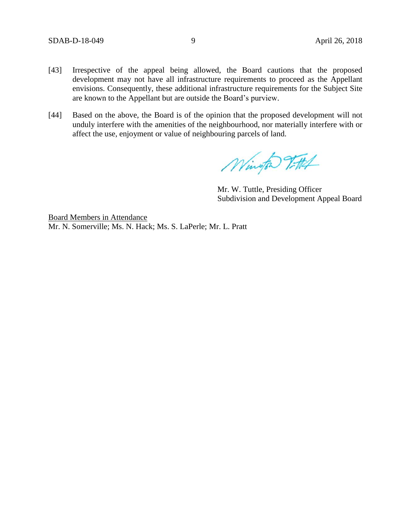- [43] Irrespective of the appeal being allowed, the Board cautions that the proposed development may not have all infrastructure requirements to proceed as the Appellant envisions. Consequently, these additional infrastructure requirements for the Subject Site are known to the Appellant but are outside the Board's purview.
- [44] Based on the above, the Board is of the opinion that the proposed development will not unduly interfere with the amenities of the neighbourhood, nor materially interfere with or affect the use, enjoyment or value of neighbouring parcels of land.

Wington Vittel

Mr. W. Tuttle, Presiding Officer Subdivision and Development Appeal Board

Board Members in Attendance Mr. N. Somerville; Ms. N. Hack; Ms. S. LaPerle; Mr. L. Pratt